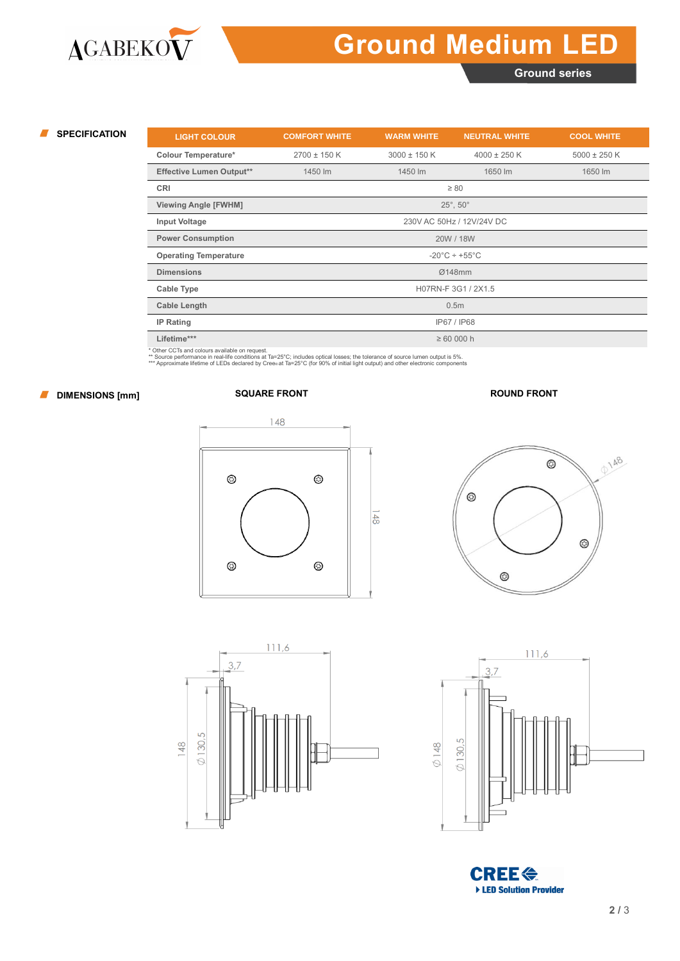# **Ground Medium LED**

**Ground series**

| <b>SPECIFICATION</b> | <b>LIGHT COLOUR</b>                                                | <b>COMFORT WHITE</b> | <b>WARM WHITE</b> | <b>NEUTRAL WHITE</b> | <b>COOL WHITE</b> |  |  |  |  |  |
|----------------------|--------------------------------------------------------------------|----------------------|-------------------|----------------------|-------------------|--|--|--|--|--|
|                      | <b>Colour Temperature*</b>                                         | $2700 \pm 150$ K     | $3000 \pm 150$ K  | $4000 \pm 250$ K     | $5000 \pm 250$ K  |  |  |  |  |  |
|                      | <b>Effective Lumen Output**</b>                                    | 1450 lm              | 1450 lm           | 1650 lm              | 1650 lm           |  |  |  |  |  |
|                      | <b>CRI</b>                                                         |                      |                   | $\geq 80$            |                   |  |  |  |  |  |
|                      | <b>Viewing Angle [FWHM]</b>                                        |                      |                   | $25^\circ, 50^\circ$ |                   |  |  |  |  |  |
|                      | 230V AC 50Hz / 12V/24V DC<br><b>Input Voltage</b>                  |                      |                   |                      |                   |  |  |  |  |  |
|                      | <b>Power Consumption</b><br>20W / 18W                              |                      |                   |                      |                   |  |  |  |  |  |
|                      | <b>Operating Temperature</b><br>$-20^{\circ}$ C ÷ +55 $^{\circ}$ C |                      |                   |                      |                   |  |  |  |  |  |
|                      | <b>Dimensions</b>                                                  | Ø148mm               |                   |                      |                   |  |  |  |  |  |
|                      | Cable Type                                                         | H07RN-F 3G1 / 2X1.5  |                   |                      |                   |  |  |  |  |  |
|                      | <b>Cable Length</b>                                                | 0.5 <sub>m</sub>     |                   |                      |                   |  |  |  |  |  |
|                      | <b>IP Rating</b>                                                   | IP67 / IP68          |                   |                      |                   |  |  |  |  |  |
|                      | Lifetime***                                                        |                      | $\geq 60000$ h    |                      |                   |  |  |  |  |  |

\* Other CCTs and colours available on request.<br>\*\* Source performance in real-life conditions at Ta=25°C; includes optical losses; the tolerance of source lumen output is 5%.<br>\*\*\* Approximate lifetime of LEDs declared by Cr

### **DIMENSIONS [mm] SQUARE FRONT ROUND FRONT**









**CREE<sup><</sup>** ▶ LED Solution Provider